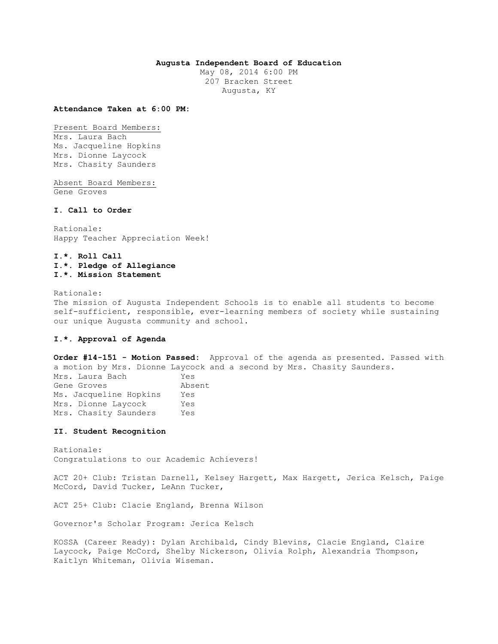## **Augusta Independent Board of Education**

May 08, 2014 6:00 PM 207 Bracken Street Augusta, KY

#### **Attendance Taken at 6:00 PM:**

Present Board Members: Mrs. Laura Bach Ms. Jacqueline Hopkins Mrs. Dionne Laycock Mrs. Chasity Saunders

Absent Board Members: Gene Groves

# **I. Call to Order**

Rationale: Happy Teacher Appreciation Week!

# **I.\*. Roll Call I.\*. Pledge of Allegiance I.\*. Mission Statement**

Rationale: The mission of Augusta Independent Schools is to enable all students to become self-sufficient, responsible, ever-learning members of society while sustaining our unique Augusta community and school.

# **I.\*. Approval of Agenda**

**Order #14-151 - Motion Passed:** Approval of the agenda as presented. Passed with a motion by Mrs. Dionne Laycock and a second by Mrs. Chasity Saunders. Mrs. Laura Bach Yes Gene Groves **Absent** Ms. Jacqueline Hopkins Yes Mrs. Dionne Laycock Yes Mrs. Chasity Saunders Yes

### **II. Student Recognition**

Rationale: Congratulations to our Academic Achievers!

ACT 20+ Club: Tristan Darnell, Kelsey Hargett, Max Hargett, Jerica Kelsch, Paige McCord, David Tucker, LeAnn Tucker,

ACT 25+ Club: Clacie England, Brenna Wilson

Governor's Scholar Program: Jerica Kelsch

KOSSA (Career Ready): Dylan Archibald, Cindy Blevins, Clacie England, Claire Laycock, Paige McCord, Shelby Nickerson, Olivia Rolph, Alexandria Thompson, Kaitlyn Whiteman, Olivia Wiseman.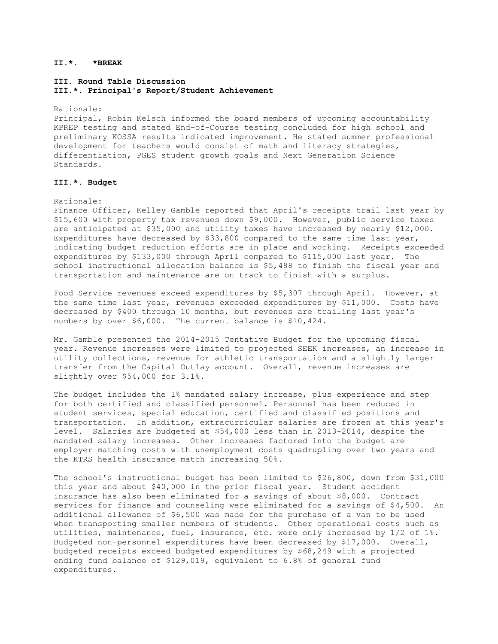# **II.\*. \*BREAK**

# **III. Round Table Discussion III.\*. Principal's Report/Student Achievement**

Rationale:

Principal, Robin Kelsch informed the board members of upcoming accountability KPREP testing and stated End-of-Course testing concluded for high school and preliminary KOSSA results indicated improvement. He stated summer professional development for teachers would consist of math and literacy strategies, differentiation, PGES student growth goals and Next Generation Science Standards.

## **III.\*. Budget**

#### Rationale:

Finance Officer, Kelley Gamble reported that April's receipts trail last year by \$15,600 with property tax revenues down \$9,000. However, public service taxes are anticipated at \$35,000 and utility taxes have increased by nearly \$12,000. Expenditures have decreased by \$33,800 compared to the same time last year, indicating budget reduction efforts are in place and working. Receipts exceeded expenditures by \$133,000 through April compared to \$115,000 last year. The school instructional allocation balance is \$5,488 to finish the fiscal year and transportation and maintenance are on track to finish with a surplus.

Food Service revenues exceed expenditures by \$5,307 through April. However, at the same time last year, revenues exceeded expenditures by \$11,000. Costs have decreased by \$400 through 10 months, but revenues are trailing last year's numbers by over \$6,000. The current balance is \$10,424.

Mr. Gamble presented the 2014-2015 Tentative Budget for the upcoming fiscal year. Revenue increases were limited to projected SEEK increases, an increase in utility collections, revenue for athletic transportation and a slightly larger transfer from the Capital Outlay account. Overall, revenue increases are slightly over \$54,000 for 3.1%.

The budget includes the 1% mandated salary increase, plus experience and step for both certified and classified personnel. Personnel has been reduced in student services, special education, certified and classified positions and transportation. In addition, extracurricular salaries are frozen at this year's level. Salaries are budgeted at \$54,000 less than in 2013-2014, despite the mandated salary increases. Other increases factored into the budget are employer matching costs with unemployment costs quadrupling over two years and the KTRS health insurance match increasing 50%.

The school's instructional budget has been limited to \$26,800, down from \$31,000 this year and about \$40,000 in the prior fiscal year. Student accident insurance has also been eliminated for a savings of about \$8,000. Contract services for finance and counseling were eliminated for a savings of \$4,500. An additional allowance of \$6,500 was made for the purchase of a van to be used when transporting smaller numbers of students. Other operational costs such as utilities, maintenance, fuel, insurance, etc. were only increased by 1/2 of 1%. Budgeted non-personnel expenditures have been decreased by \$17,000. Overall, budgeted receipts exceed budgeted expenditures by \$68,249 with a projected ending fund balance of \$129,019, equivalent to 6.8% of general fund expenditures.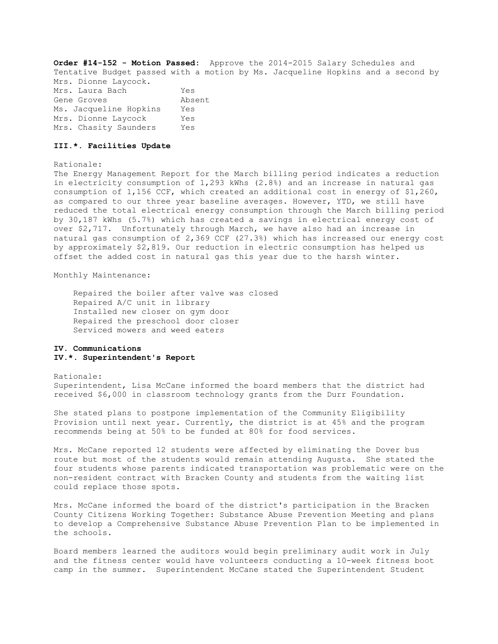**Order #14-152 - Motion Passed:** Approve the 2014-2015 Salary Schedules and Tentative Budget passed with a motion by Ms. Jacqueline Hopkins and a second by Mrs. Dionne Laycock. Mrs. Laura Bach Yes Gene Groves **Absent** Ms. Jacqueline Hopkins Yes Mrs. Dionne Laycock Yes Mrs. Chasity Saunders Yes

#### **III.\*. Facilities Update**

Rationale:

The Energy Management Report for the March billing period indicates a reduction in electricity consumption of 1,293 kWhs (2.8%) and an increase in natural gas consumption of 1,156 CCF, which created an additional cost in energy of \$1,260, as compared to our three year baseline averages. However, YTD, we still have reduced the total electrical energy consumption through the March billing period by 30,187 kWhs (5.7%) which has created a savings in electrical energy cost of over \$2,717. Unfortunately through March, we have also had an increase in natural gas consumption of 2,369 CCF (27.3%) which has increased our energy cost by approximately \$2,819. Our reduction in electric consumption has helped us offset the added cost in natural gas this year due to the harsh winter.

Monthly Maintenance:

 Repaired the boiler after valve was closed Repaired A/C unit in library Installed new closer on gym door Repaired the preschool door closer Serviced mowers and weed eaters

# **IV. Communications IV.\*. Superintendent's Report**

Rationale: Superintendent, Lisa McCane informed the board members that the district had received \$6,000 in classroom technology grants from the Durr Foundation.

She stated plans to postpone implementation of the Community Eligibility Provision until next year. Currently, the district is at 45% and the program recommends being at 50% to be funded at 80% for food services.

Mrs. McCane reported 12 students were affected by eliminating the Dover bus route but most of the students would remain attending Augusta. She stated the four students whose parents indicated transportation was problematic were on the non-resident contract with Bracken County and students from the waiting list could replace those spots.

Mrs. McCane informed the board of the district's participation in the Bracken County Citizens Working Together: Substance Abuse Prevention Meeting and plans to develop a Comprehensive Substance Abuse Prevention Plan to be implemented in the schools.

Board members learned the auditors would begin preliminary audit work in July and the fitness center would have volunteers conducting a 10-week fitness boot camp in the summer. Superintendent McCane stated the Superintendent Student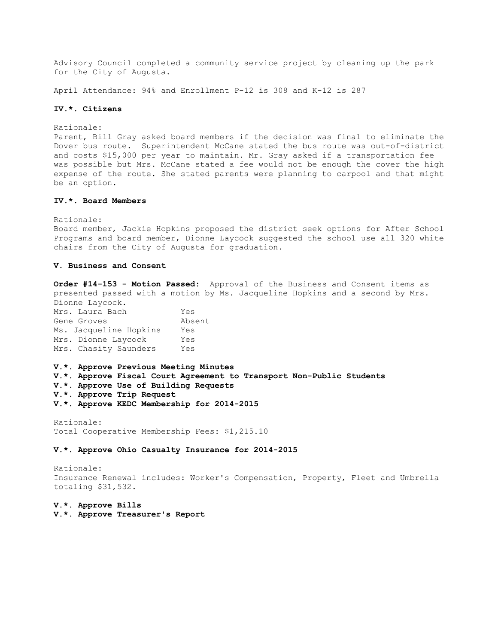Advisory Council completed a community service project by cleaning up the park for the City of Augusta.

April Attendance: 94% and Enrollment P-12 is 308 and K-12 is 287

## **IV.\*. Citizens**

Rationale:

Parent, Bill Gray asked board members if the decision was final to eliminate the Dover bus route. Superintendent McCane stated the bus route was out-of-district and costs \$15,000 per year to maintain. Mr. Gray asked if a transportation fee was possible but Mrs. McCane stated a fee would not be enough the cover the high expense of the route. She stated parents were planning to carpool and that might be an option.

## **IV.\*. Board Members**

Rationale:

Board member, Jackie Hopkins proposed the district seek options for After School Programs and board member, Dionne Laycock suggested the school use all 320 white chairs from the City of Augusta for graduation.

## **V. Business and Consent**

**Order #14-153 - Motion Passed:** Approval of the Business and Consent items as presented passed with a motion by Ms. Jacqueline Hopkins and a second by Mrs. Dionne Laycock.

| Yes    |
|--------|
| Absent |
| Yes    |
| Yes    |
| Yes    |
|        |

**V.\*. Approve Previous Meeting Minutes V.\*. Approve Fiscal Court Agreement to Transport Non-Public Students V.\*. Approve Use of Building Requests V.\*. Approve Trip Request V.\*. Approve KEDC Membership for 2014-2015** 

Rationale:

Total Cooperative Membership Fees: \$1,215.10

### **V.\*. Approve Ohio Casualty Insurance for 2014-2015**

Rationale: Insurance Renewal includes: Worker's Compensation, Property, Fleet and Umbrella totaling \$31,532.

**V.\*. Approve Bills V.\*. Approve Treasurer's Report**